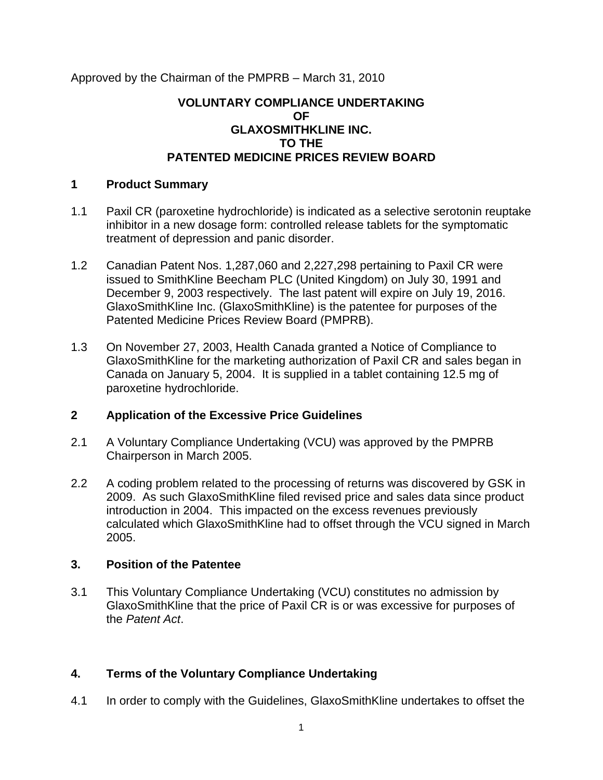Approved by the Chairman of the PMPRB – March 31, 2010

### **VOLUNTARY COMPLIANCE UNDERTAKING OF GLAXOSMITHKLINE INC. TO THE PATENTED MEDICINE PRICES REVIEW BOARD**

## **1 Product Summary**

- 1.1 Paxil CR (paroxetine hydrochloride) is indicated as a selective serotonin reuptake inhibitor in a new dosage form: controlled release tablets for the symptomatic treatment of depression and panic disorder.
- 1.2 Canadian Patent Nos. 1,287,060 and 2,227,298 pertaining to Paxil CR were issued to SmithKline Beecham PLC (United Kingdom) on July 30, 1991 and December 9, 2003 respectively. The last patent will expire on July 19, 2016. GlaxoSmithKline Inc. (GlaxoSmithKline) is the patentee for purposes of the Patented Medicine Prices Review Board (PMPRB).
- 1.3 On November 27, 2003, Health Canada granted a Notice of Compliance to GlaxoSmithKline for the marketing authorization of Paxil CR and sales began in Canada on January 5, 2004. It is supplied in a tablet containing 12.5 mg of paroxetine hydrochloride.

# **2 Application of the Excessive Price Guidelines**

- 2.1 A Voluntary Compliance Undertaking (VCU) was approved by the PMPRB Chairperson in March 2005.
- 2.2 A coding problem related to the processing of returns was discovered by GSK in 2009. As such GlaxoSmithKline filed revised price and sales data since product introduction in 2004. This impacted on the excess revenues previously calculated which GlaxoSmithKline had to offset through the VCU signed in March 2005.

### **3. Position of the Patentee**

3.1 This Voluntary Compliance Undertaking (VCU) constitutes no admission by GlaxoSmithKline that the price of Paxil CR is or was excessive for purposes of the *Patent Act*.

# **4. Terms of the Voluntary Compliance Undertaking**

4.1 In order to comply with the Guidelines, GlaxoSmithKline undertakes to offset the